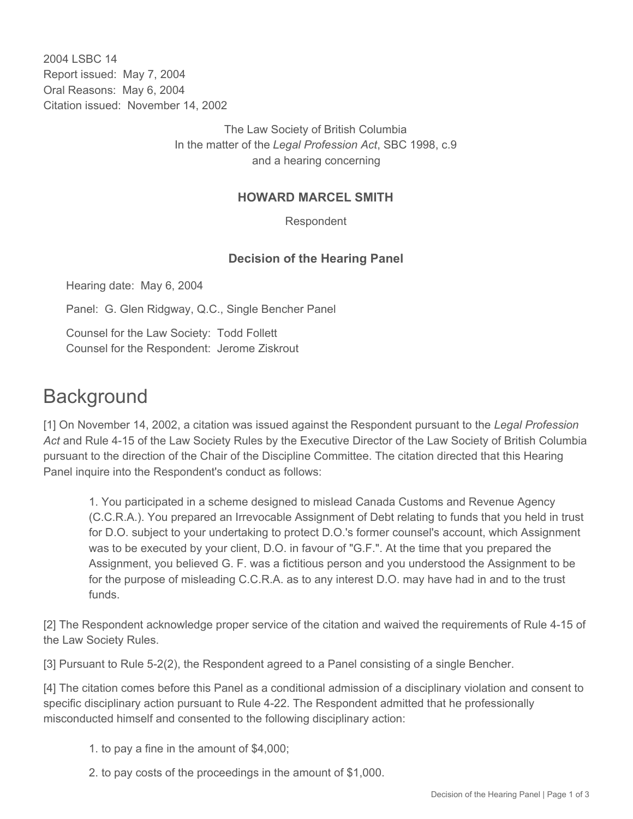2004 LSBC 14 Report issued: May 7, 2004 Oral Reasons: May 6, 2004 Citation issued: November 14, 2002

> The Law Society of British Columbia In the matter of the *Legal Profession Act*, SBC 1998, c.9 and a hearing concerning

## **HOWARD MARCEL SMITH**

Respondent

## **Decision of the Hearing Panel**

Hearing date: May 6, 2004

Panel: G. Glen Ridgway, Q.C., Single Bencher Panel

Counsel for the Law Society: Todd Follett Counsel for the Respondent: Jerome Ziskrout

## **Background**

[1] On November 14, 2002, a citation was issued against the Respondent pursuant to the *Legal Profession Act* and Rule 4-15 of the Law Society Rules by the Executive Director of the Law Society of British Columbia pursuant to the direction of the Chair of the Discipline Committee. The citation directed that this Hearing Panel inquire into the Respondent's conduct as follows:

1. You participated in a scheme designed to mislead Canada Customs and Revenue Agency (C.C.R.A.). You prepared an Irrevocable Assignment of Debt relating to funds that you held in trust for D.O. subject to your undertaking to protect D.O.'s former counsel's account, which Assignment was to be executed by your client, D.O. in favour of "G.F.". At the time that you prepared the Assignment, you believed G. F. was a fictitious person and you understood the Assignment to be for the purpose of misleading C.C.R.A. as to any interest D.O. may have had in and to the trust funds.

[2] The Respondent acknowledge proper service of the citation and waived the requirements of Rule 4-15 of the Law Society Rules.

[3] Pursuant to Rule 5-2(2), the Respondent agreed to a Panel consisting of a single Bencher.

[4] The citation comes before this Panel as a conditional admission of a disciplinary violation and consent to specific disciplinary action pursuant to Rule 4-22. The Respondent admitted that he professionally misconducted himself and consented to the following disciplinary action:

- 1. to pay a fine in the amount of \$4,000;
- 2. to pay costs of the proceedings in the amount of \$1,000.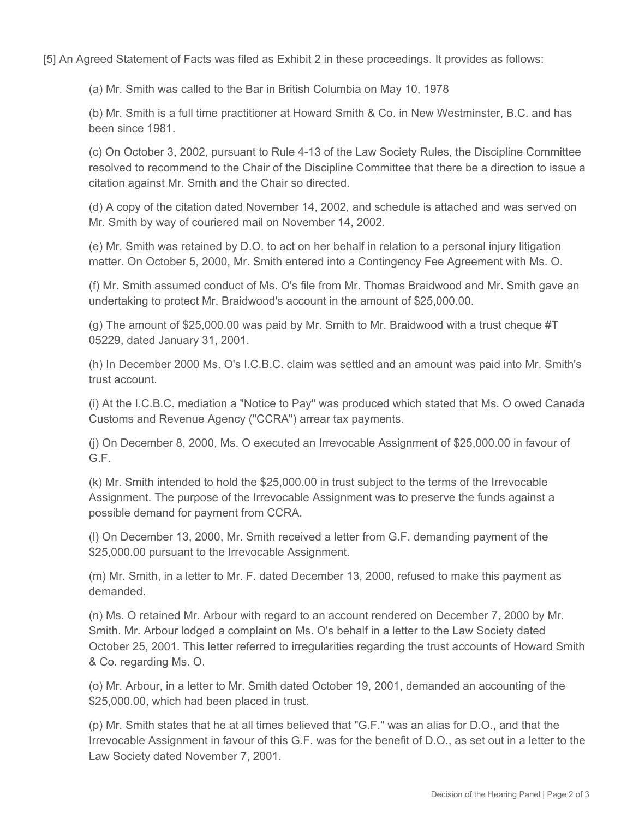[5] An Agreed Statement of Facts was filed as Exhibit 2 in these proceedings. It provides as follows:

(a) Mr. Smith was called to the Bar in British Columbia on May 10, 1978

(b) Mr. Smith is a full time practitioner at Howard Smith & Co. in New Westminster, B.C. and has been since 1981.

(c) On October 3, 2002, pursuant to Rule 4-13 of the Law Society Rules, the Discipline Committee resolved to recommend to the Chair of the Discipline Committee that there be a direction to issue a citation against Mr. Smith and the Chair so directed.

(d) A copy of the citation dated November 14, 2002, and schedule is attached and was served on Mr. Smith by way of couriered mail on November 14, 2002.

(e) Mr. Smith was retained by D.O. to act on her behalf in relation to a personal injury litigation matter. On October 5, 2000, Mr. Smith entered into a Contingency Fee Agreement with Ms. O.

(f) Mr. Smith assumed conduct of Ms. O's file from Mr. Thomas Braidwood and Mr. Smith gave an undertaking to protect Mr. Braidwood's account in the amount of \$25,000.00.

(g) The amount of \$25,000.00 was paid by Mr. Smith to Mr. Braidwood with a trust cheque #T 05229, dated January 31, 2001.

(h) In December 2000 Ms. O's I.C.B.C. claim was settled and an amount was paid into Mr. Smith's trust account.

(i) At the I.C.B.C. mediation a "Notice to Pay" was produced which stated that Ms. O owed Canada Customs and Revenue Agency ("CCRA") arrear tax payments.

(j) On December 8, 2000, Ms. O executed an Irrevocable Assignment of \$25,000.00 in favour of G.F.

(k) Mr. Smith intended to hold the \$25,000.00 in trust subject to the terms of the Irrevocable Assignment. The purpose of the Irrevocable Assignment was to preserve the funds against a possible demand for payment from CCRA.

(l) On December 13, 2000, Mr. Smith received a letter from G.F. demanding payment of the \$25,000.00 pursuant to the Irrevocable Assignment.

(m) Mr. Smith, in a letter to Mr. F. dated December 13, 2000, refused to make this payment as demanded.

(n) Ms. O retained Mr. Arbour with regard to an account rendered on December 7, 2000 by Mr. Smith. Mr. Arbour lodged a complaint on Ms. O's behalf in a letter to the Law Society dated October 25, 2001. This letter referred to irregularities regarding the trust accounts of Howard Smith & Co. regarding Ms. O.

(o) Mr. Arbour, in a letter to Mr. Smith dated October 19, 2001, demanded an accounting of the \$25,000.00, which had been placed in trust.

(p) Mr. Smith states that he at all times believed that "G.F." was an alias for D.O., and that the Irrevocable Assignment in favour of this G.F. was for the benefit of D.O., as set out in a letter to the Law Society dated November 7, 2001.